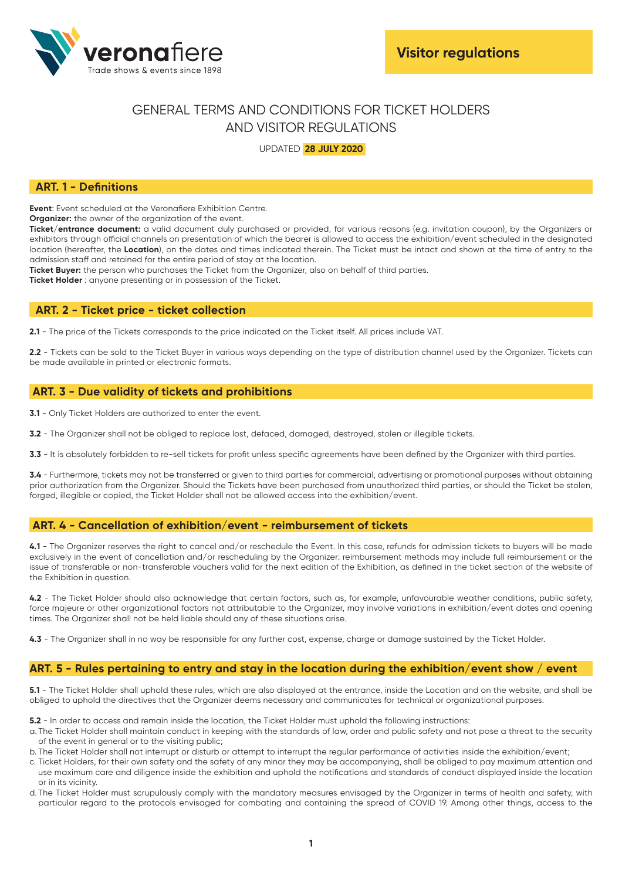

# GENERAL TERMS AND CONDITIONS FOR TICKET HOLDERS AND VISITOR REGULATIONS

UPDATED **28 JULY 2020**

# **ART. 1 - Definitions**

**Event:** Event scheduled at the Veronafiere Exhibition Centre.

**Organizer:** the owner of the organization of the event.

**Ticket/entrance document:** a valid document duly purchased or provided, for various reasons (e.g. invitation coupon), by the Organizers or exhibitors through official channels on presentation of which the bearer is allowed to access the exhibition/event scheduled in the designated location (hereafter, the **Location**), on the dates and times indicated therein. The Ticket must be intact and shown at the time of entry to the admission staff and retained for the entire period of stay at the location.

**Ticket Buyer:** the person who purchases the Ticket from the Organizer, also on behalf of third parties.

**Ticket Holder** : anyone presenting or in possession of the Ticket.

## **ART. 2 - Ticket price - ticket collection**

**2.1** - The price of the Tickets corresponds to the price indicated on the Ticket itself. All prices include VAT.

**2.2** - Tickets can be sold to the Ticket Buyer in various ways depending on the type of distribution channel used by the Organizer. Tickets can be made available in printed or electronic formats.

## **ART. 3 - Due validity of tickets and prohibitions**

**3.1** - Only Ticket Holders are authorized to enter the event.

**3.2** - The Organizer shall not be obliged to replace lost, defaced, damaged, destroyed, stolen or illegible tickets.

**3.3** - It is absolutely forbidden to re-sell tickets for profit unless specific agreements have been defined by the Organizer with third parties.

**3.4** - Furthermore, tickets may not be transferred or given to third parties for commercial, advertising or promotional purposes without obtaining prior authorization from the Organizer. Should the Tickets have been purchased from unauthorized third parties, or should the Ticket be stolen, forged, illegible or copied, the Ticket Holder shall not be allowed access into the exhibition/event.

## **ART. 4 - Cancellation of exhibition/event - reimbursement of tickets**

**4.1** - The Organizer reserves the right to cancel and/or reschedule the Event. In this case, refunds for admission tickets to buyers will be made exclusively in the event of cancellation and/or rescheduling by the Organizer: reimbursement methods may include full reimbursement or the issue of transferable or non-transferable vouchers valid for the next edition of the Exhibition, as defined in the ticket section of the website of the Exhibition in question.

**4.2** - The Ticket Holder should also acknowledge that certain factors, such as, for example, unfavourable weather conditions, public safety, force majeure or other organizational factors not attributable to the Organizer, may involve variations in exhibition/event dates and opening times. The Organizer shall not be held liable should any of these situations arise.

**4.3** - The Organizer shall in no way be responsible for any further cost, expense, charge or damage sustained by the Ticket Holder.

## **ART. 5 - Rules pertaining to entry and stay in the location during the exhibition/event show / event**

**5.1** - The Ticket Holder shall uphold these rules, which are also displayed at the entrance, inside the Location and on the website, and shall be obliged to uphold the directives that the Organizer deems necessary and communicates for technical or organizational purposes.

**5.2** - In order to access and remain inside the location, the Ticket Holder must uphold the following instructions:

- a. The Ticket Holder shall maintain conduct in keeping with the standards of law, order and public safety and not pose a threat to the security of the event in general or to the visiting public;
- b. The Ticket Holder shall not interrupt or disturb or attempt to interrupt the regular performance of activities inside the exhibition/event;
- c. Ticket Holders, for their own safety and the safety of any minor they may be accompanying, shall be obliged to pay maximum attention and use maximum care and diligence inside the exhibition and uphold the notifications and standards of conduct displayed inside the location or in its vicinity.
- d. The Ticket Holder must scrupulously comply with the mandatory measures envisaged by the Organizer in terms of health and safety, with particular regard to the protocols envisaged for combating and containing the spread of COVID 19. Among other things, access to the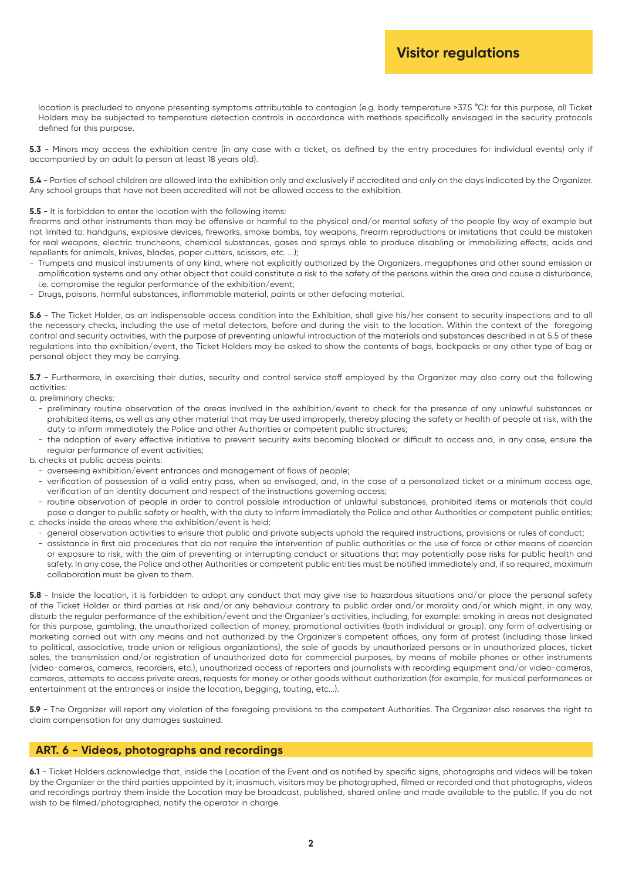location is precluded to anyone presenting symptoms attributable to contagion (e.g. body temperature >37.5 °C): for this purpose, all Ticket Holders may be subjected to temperature detection controls in accordance with methods specifically envisaged in the security protocols defined for this purpose.

5.3 - Minors may access the exhibition centre (in any case with a ticket, as defined by the entry procedures for individual events) only if accompanied by an adult (a person at least 18 years old).

**5.4** - Parties of school children are allowed into the exhibition only and exclusively if accredited and only on the days indicated by the Organizer. Any school groups that have not been accredited will not be allowed access to the exhibition.

#### **5.5** - It is forbidden to enter the location with the following items:

firearms and other instruments than may be offensive or harmful to the physical and/or mental safety of the people (by way of example but not limited to: handguns, explosive devices, fireworks, smoke bombs, toy weapons, firearm reproductions or imitations that could be mistaken for real weapons, electric truncheons, chemical substances, gases and sprays able to produce disabling or immobilizing effects, acids and repellents for animals, knives, blades, paper cutters, scissors, etc. ...);

- Trumpets and musical instruments of any kind, where not explicitly authorized by the Organizers, megaphones and other sound emission or amplification systems and any other object that could constitute a risk to the safety of the persons within the area and cause a disturbance, i.e. compromise the regular performance of the exhibition/event;
- Drugs, poisons, harmful substances, inflammable material, paints or other defacing material.

**5.6** - The Ticket Holder, as an indispensable access condition into the Exhibition, shall give his/her consent to security inspections and to all the necessary checks, including the use of metal detectors, before and during the visit to the location. Within the context of the foregoing control and security activities, with the purpose of preventing unlawful introduction of the materials and substances described in at 5.5 of these regulations into the exhibition/event, the Ticket Holders may be asked to show the contents of bags, backpacks or any other type of bag or personal object they may be carrying.

**5.7** - Furthermore, in exercising their duties, security and control service staff employed by the Organizer may also carry out the following activities:

a. preliminary checks:

- preliminary routine observation of the areas involved in the exhibition/event to check for the presence of any unlawful substances or prohibited items, as well as any other material that may be used improperly, thereby placing the safety or health of people at risk, with the duty to inform immediately the Police and other Authorities or competent public structures;
- the adoption of every effective initiative to prevent security exits becoming blocked or difficult to access and, in any case, ensure the regular performance of event activities;

b. checks at public access points:

- overseeing exhibition/event entrances and management of flows of people;
- verification of possession of a valid entry pass, when so envisaged, and, in the case of a personalized ticket or a minimum access age, verification of an identity document and respect of the instructions governing access;
- routine observation of people in order to control possible introduction of unlawful substances, prohibited items or materials that could pose a danger to public safety or health, with the duty to inform immediately the Police and other Authorities or competent public entities; c. checks inside the areas where the exhibition/event is held:
	- general observation activities to ensure that public and private subjects uphold the required instructions, provisions or rules of conduct;
	- assistance in first aid procedures that do not require the intervention of public authorities or the use of force or other means of coercion or exposure to risk, with the aim of preventing or interrupting conduct or situations that may potentially pose risks for public health and safety. In any case, the Police and other Authorities or competent public entities must be notified immediately and, if so required, maximum collaboration must be given to them.

**5.8** - Inside the location, it is forbidden to adopt any conduct that may give rise to hazardous situations and/or place the personal safety of the Ticket Holder or third parties at risk and/or any behaviour contrary to public order and/or morality and/or which might, in any way, disturb the regular performance of the exhibition/event and the Organizer's activities, including, for example: smoking in areas not designated for this purpose, gambling, the unauthorized collection of money, promotional activities (both individual or group), any form of advertising or marketing carried out with any means and not authorized by the Organizer's competent offices, any form of protest (including those linked to political, associative, trade union or religious organizations), the sale of goods by unauthorized persons or in unauthorized places, ticket sales, the transmission and/or registration of unauthorized data for commercial purposes, by means of mobile phones or other instruments (video-cameras, cameras, recorders, etc.), unauthorized access of reporters and journalists with recording equipment and/or video-cameras, cameras, attempts to access private areas, requests for money or other goods without authorization (for example, for musical performances or entertainment at the entrances or inside the location, begging, touting, etc...).

**5.9** - The Organizer will report any violation of the foregoing provisions to the competent Authorities. The Organizer also reserves the right to claim compensation for any damages sustained.

#### **ART. 6 - Videos, photographs and recordings**

6.1 - Ticket Holders acknowledge that, inside the Location of the Event and as notified by specific signs, photographs and videos will be taken by the Organizer or the third parties appointed by it; inasmuch, visitors may be photographed, filmed or recorded and that photographs, videos and recordings portray them inside the Location may be broadcast, published, shared online and made available to the public. If you do not wish to be filmed/photographed, notify the operator in charge.